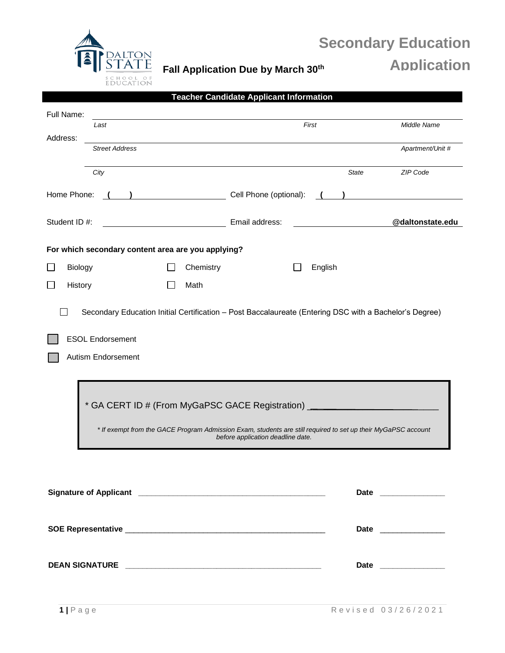

# **Secondary Education Application**

**Fall Application Due by March 30th**

|               |                                               |                                                    | <b>Teacher Candidate Applicant Information</b>                                                                                                                                                                                         |                      |                      |
|---------------|-----------------------------------------------|----------------------------------------------------|----------------------------------------------------------------------------------------------------------------------------------------------------------------------------------------------------------------------------------------|----------------------|----------------------|
| Full Name:    |                                               |                                                    |                                                                                                                                                                                                                                        |                      |                      |
|               | Last                                          |                                                    |                                                                                                                                                                                                                                        | First                | Middle Name          |
| Address:      | <b>Street Address</b>                         |                                                    |                                                                                                                                                                                                                                        |                      | Apartment/Unit #     |
|               | City                                          |                                                    |                                                                                                                                                                                                                                        | <b>State</b>         | ZIP Code             |
| Home Phone:   |                                               |                                                    | Cell Phone (optional):                                                                                                                                                                                                                 |                      |                      |
| Student ID #: |                                               |                                                    | Email address:                                                                                                                                                                                                                         |                      | @daltonstate.edu     |
|               |                                               | For which secondary content area are you applying? |                                                                                                                                                                                                                                        |                      |                      |
| Biology       |                                               | Chemistry                                          |                                                                                                                                                                                                                                        | English              |                      |
| History       |                                               | Math                                               |                                                                                                                                                                                                                                        |                      |                      |
|               | <b>ESOL Endorsement</b><br>Autism Endorsement |                                                    | * GA CERT ID # (From MyGaPSC GACE Registration) ________________________________<br>* If exempt from the GACE Program Admission Exam, students are still required to set up their MyGaPSC account<br>before application deadline date. |                      |                      |
|               |                                               |                                                    |                                                                                                                                                                                                                                        |                      | Date _______________ |
|               |                                               |                                                    |                                                                                                                                                                                                                                        |                      |                      |
|               |                                               |                                                    |                                                                                                                                                                                                                                        | Date _______________ |                      |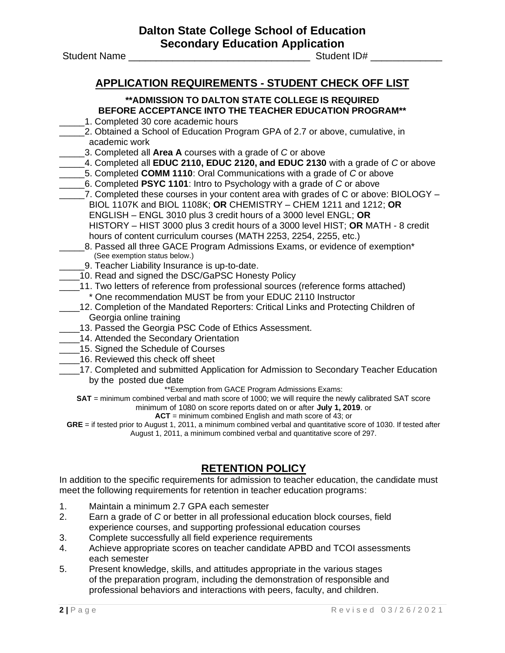Student Name \_\_\_\_\_\_\_\_\_\_\_\_\_\_\_\_\_\_\_\_\_\_\_\_\_\_\_\_\_\_\_\_\_ Student ID# \_\_\_\_\_\_\_\_\_\_\_\_\_

### **APPLICATION REQUIREMENTS - STUDENT CHECK OFF LIST**

### **\*\*ADMISSION TO DALTON STATE COLLEGE IS REQUIRED BEFORE ACCEPTANCE INTO THE TEACHER EDUCATION PROGRAM\*\***

- \_\_\_\_\_1. Completed 30 core academic hours
- \_\_\_\_\_2. Obtained a School of Education Program GPA of 2.7 or above, cumulative, in academic work
	- \_\_\_\_\_3. Completed all **Area A** courses with a grade of *C* or above
- \_\_\_\_\_4. Completed all **EDUC 2110, EDUC 2120, and EDUC 2130** with a grade of *C* or above
- \_\_\_\_\_5. Completed **COMM 1110**: Oral Communications with a grade of *C* or above
- \_\_\_\_\_6. Completed **PSYC 1101**: Intro to Psychology with a grade of *C* or above
- \_\_\_\_\_7. Completed these courses in your content area with grades of C or above: BIOLOGY BIOL 1107K and BIOL 1108K; **OR** CHEMISTRY – CHEM 1211 and 1212; **OR** ENGLISH – ENGL 3010 plus 3 credit hours of a 3000 level ENGL; **OR** HISTORY – HIST 3000 plus 3 credit hours of a 3000 level HIST; **OR** MATH - 8 credit hours of content curriculum courses (MATH 2253, 2254, 2255, etc.)
- 8. Passed all three GACE Program Admissions Exams, or evidence of exemption<sup>\*</sup> (See exemption status below.)
- 9. Teacher Liability Insurance is up-to-date.
- 10. Read and signed the DSC/GaPSC Honesty Policy
- 11. Two letters of reference from professional sources (reference forms attached)
	- \* One recommendation MUST be from your EDUC 2110 Instructor
- 12. Completion of the Mandated Reporters: Critical Links and Protecting Children of Georgia online training
- 13. Passed the Georgia PSC Code of Ethics Assessment.
- 14. Attended the Secondary Orientation
- **\_\_\_\_15. Signed the Schedule of Courses**
- \_\_\_\_16. Reviewed this check off sheet
- 17. Completed and submitted Application for Admission to Secondary Teacher Education by the posted due date

\*\*Exemption from GACE Program Admissions Exams:

**SAT** = minimum combined verbal and math score of 1000; we will require the newly calibrated SAT score minimum of 1080 on score reports dated on or after **July 1, 2019**. or

**ACT** = minimum combined English and math score of 43; or

**GRE** = if tested prior to August 1, 2011, a minimum combined verbal and quantitative score of 1030. If tested after August 1, 2011, a minimum combined verbal and quantitative score of 297.

### **RETENTION POLICY**

In addition to the specific requirements for admission to teacher education, the candidate must meet the following requirements for retention in teacher education programs:

- 1. Maintain a minimum 2.7 GPA each semester
- 2. Earn a grade of *C* or better in all professional education block courses, field experience courses, and supporting professional education courses
- 3. Complete successfully all field experience requirements
- 4. Achieve appropriate scores on teacher candidate APBD and TCOI assessments each semester
- 5. Present knowledge, skills, and attitudes appropriate in the various stages of the preparation program, including the demonstration of responsible and professional behaviors and interactions with peers, faculty, and children.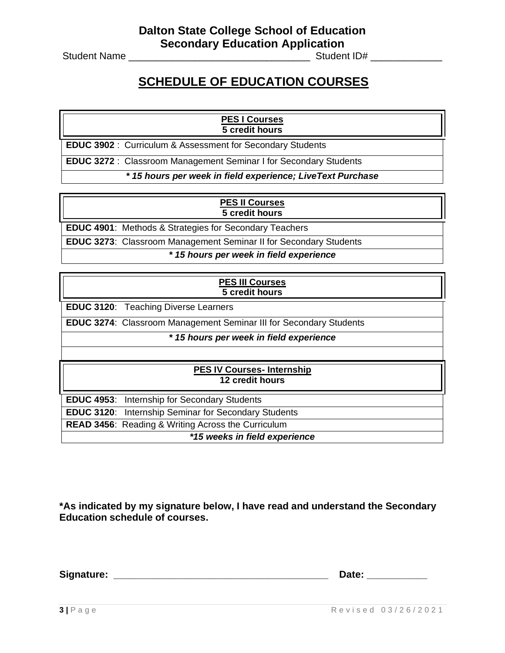Student Name \_\_\_\_\_\_\_\_\_\_\_\_\_\_\_\_\_\_\_\_\_\_\_\_\_\_\_\_\_\_\_\_\_ Student ID# \_\_\_\_\_\_\_\_\_\_\_\_\_

## **SCHEDULE OF EDUCATION COURSES**

#### **PES I Courses 5 credit hours**

**EDUC 3902** : Curriculum & Assessment for Secondary Students

**EDUC 3272** : Classroom Management Seminar I for Secondary Students

*\* 15 hours per week in field experience; LiveText Purchase*

#### **PES II Courses 5 credit hours**

**EDUC 4901**: Methods & Strategies for Secondary Teachers

**EDUC 3273**: Classroom Management Seminar II for Secondary Students

*\* 15 hours per week in field experience*

### **PES III Courses 5 credit hours**

**EDUC 3120**: Teaching Diverse Learners

**EDUC 3274**: Classroom Management Seminar III for Secondary Students

*\* 15 hours per week in field experience*

#### **PES IV Courses- Internship 12 credit hours**

**EDUC 4953**: Internship for Secondary Students **EDUC 3120**: Internship Seminar for Secondary Students **READ 3456**: Reading & Writing Across the Curriculum

*\*15 weeks in field experience*

**\*As indicated by my signature below, I have read and understand the Secondary Education schedule of courses.**

**Signature: \_\_\_\_\_\_\_\_\_\_\_\_\_\_\_\_\_\_\_\_\_\_\_\_\_\_\_\_\_\_\_\_\_\_\_\_\_\_\_ Date: \_\_\_\_\_\_\_\_\_\_\_**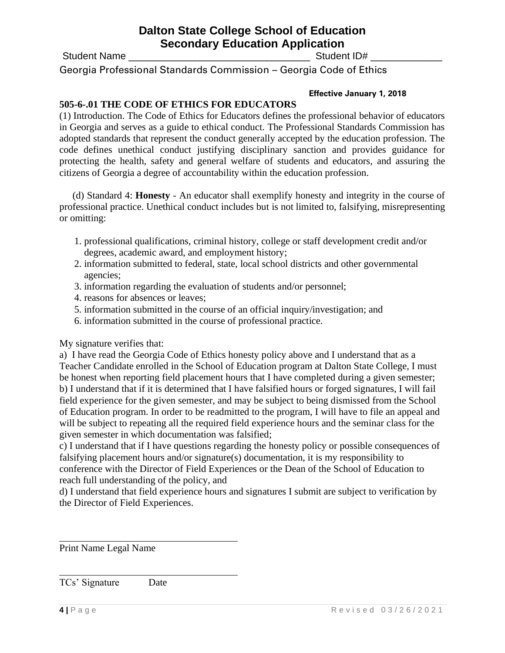Student Name \_\_\_\_\_\_\_\_\_\_\_\_\_\_\_\_\_\_\_\_\_\_\_\_\_\_\_\_\_\_\_\_\_ Student ID# \_\_\_\_\_\_\_\_\_\_\_\_\_

Georgia Professional Standards Commission – Georgia Code of Ethics

### **Effective January 1, 2018**

### **505-6-.01 THE CODE OF ETHICS FOR EDUCATORS**

(1) Introduction. The Code of Ethics for Educators defines the professional behavior of educators in Georgia and serves as a guide to ethical conduct. The Professional Standards Commission has adopted standards that represent the conduct generally accepted by the education profession. The code defines unethical conduct justifying disciplinary sanction and provides guidance for protecting the health, safety and general welfare of students and educators, and assuring the citizens of Georgia a degree of accountability within the education profession.

(d) Standard 4: **Honesty** - An educator shall exemplify honesty and integrity in the course of professional practice. Unethical conduct includes but is not limited to, falsifying, misrepresenting or omitting:

- 1. professional qualifications, criminal history, college or staff development credit and/or degrees, academic award, and employment history;
- 2. information submitted to federal, state, local school districts and other governmental agencies;
- 3. information regarding the evaluation of students and/or personnel;
- 4. reasons for absences or leaves;
- 5. information submitted in the course of an official inquiry/investigation; and
- 6. information submitted in the course of professional practice.

My signature verifies that:

a) I have read the Georgia Code of Ethics honesty policy above and I understand that as a Teacher Candidate enrolled in the School of Education program at Dalton State College, I must be honest when reporting field placement hours that I have completed during a given semester; b) I understand that if it is determined that I have falsified hours or forged signatures, I will fail field experience for the given semester, and may be subject to being dismissed from the School of Education program. In order to be readmitted to the program, I will have to file an appeal and will be subject to repeating all the required field experience hours and the seminar class for the given semester in which documentation was falsified;

c) I understand that if I have questions regarding the honesty policy or possible consequences of falsifying placement hours and/or signature(s) documentation, it is my responsibility to conference with the Director of Field Experiences or the Dean of the School of Education to reach full understanding of the policy, and

d) I understand that field experience hours and signatures I submit are subject to verification by the Director of Field Experiences.

Print Name Legal Name

TCs' Signature Date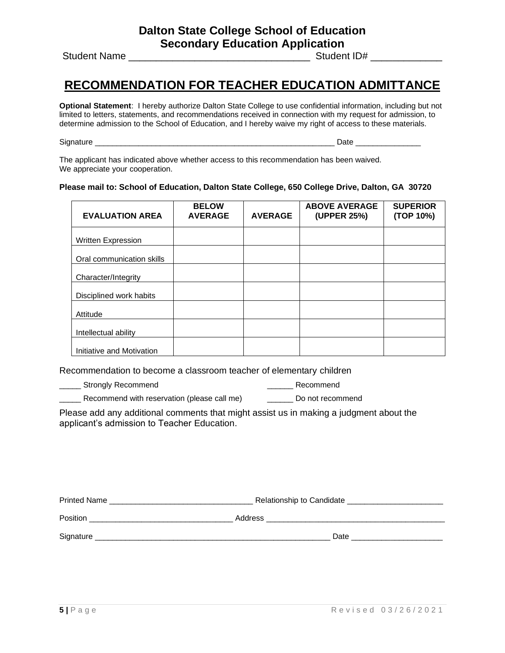Student Name \_\_\_\_\_\_\_\_\_\_\_\_\_\_\_\_\_\_\_\_\_\_\_\_\_\_\_\_\_\_\_\_\_ Student ID# \_\_\_\_\_\_\_\_\_\_\_\_\_

### **RECOMMENDATION FOR TEACHER EDUCATION ADMITTANCE**

**Optional Statement**: I hereby authorize Dalton State College to use confidential information, including but not limited to letters, statements, and recommendations received in connection with my request for admission, to determine admission to the School of Education, and I hereby waive my right of access to these materials.

Signature \_\_\_\_\_\_\_\_\_\_\_\_\_\_\_\_\_\_\_\_\_\_\_\_\_\_\_\_\_\_\_\_\_\_\_\_\_\_\_\_\_\_\_\_\_\_\_\_\_\_\_\_\_\_\_ Date \_\_\_\_\_\_\_\_\_\_\_\_\_\_\_

The applicant has indicated above whether access to this recommendation has been waived. We appreciate your cooperation.

#### **Please mail to: School of Education, Dalton State College, 650 College Drive, Dalton, GA 30720**

| <b>EVALUATION AREA</b>    | <b>BELOW</b><br><b>AVERAGE</b> | <b>AVERAGE</b> | <b>ABOVE AVERAGE</b><br>(UPPER 25%) | <b>SUPERIOR</b><br>(TOP 10%) |
|---------------------------|--------------------------------|----------------|-------------------------------------|------------------------------|
| Written Expression        |                                |                |                                     |                              |
| Oral communication skills |                                |                |                                     |                              |
| Character/Integrity       |                                |                |                                     |                              |
| Disciplined work habits   |                                |                |                                     |                              |
| Attitude                  |                                |                |                                     |                              |
| Intellectual ability      |                                |                |                                     |                              |
| Initiative and Motivation |                                |                |                                     |                              |

Recommendation to become a classroom teacher of elementary children

\_\_\_\_\_ Strongly Recommend \_\_\_\_\_\_ Recommend

Let Recommend with reservation (please call me) The Commet Do not recommend

Please add any additional comments that might assist us in making a judgment about the applicant's admission to Teacher Education.

| Printed Name | Relationship to Candidate |  |
|--------------|---------------------------|--|
| Position     | Address                   |  |
| Signature    | Date                      |  |